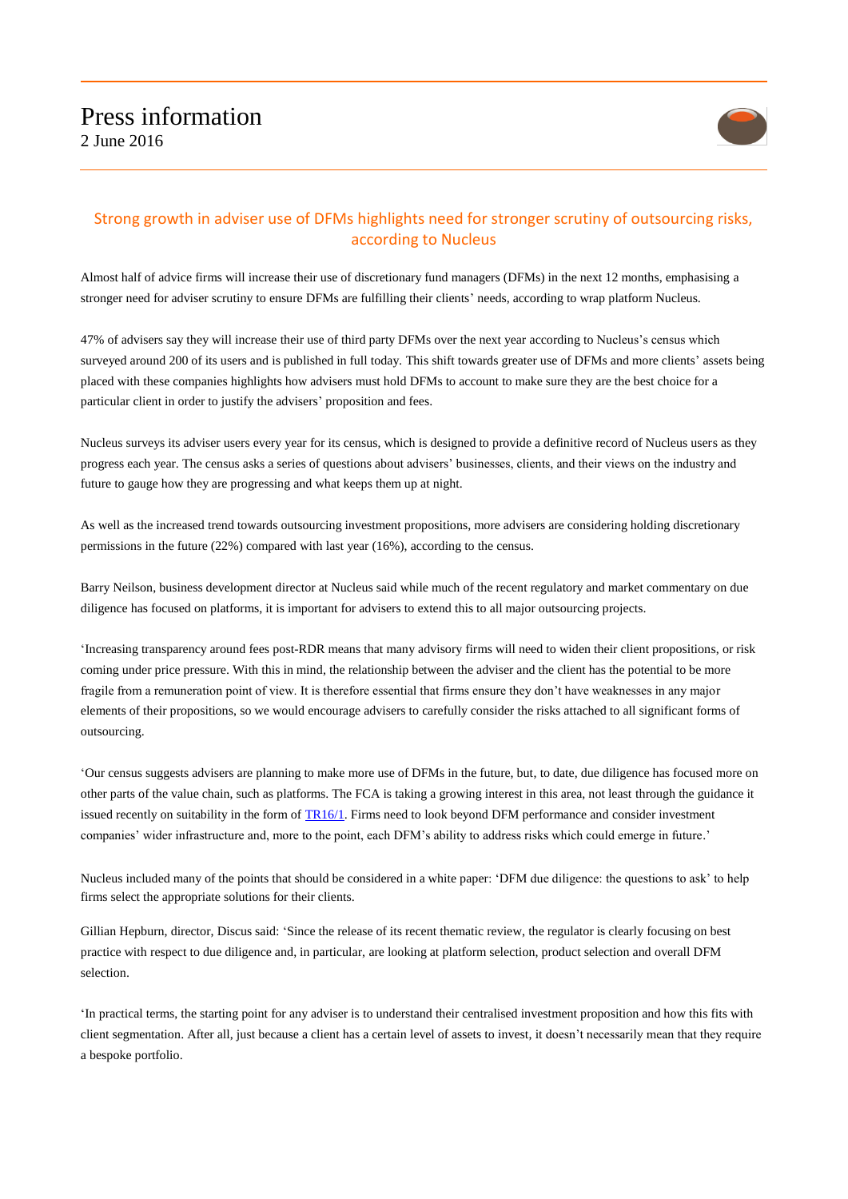

## Strong growth in adviser use of DFMs highlights need for stronger scrutiny of outsourcing risks, according to Nucleus

Almost half of advice firms will increase their use of discretionary fund managers (DFMs) in the next 12 months, emphasising a stronger need for adviser scrutiny to ensure DFMs are fulfilling their clients' needs, according to wrap platform Nucleus.

47% of advisers say they will increase their use of third party DFMs over the next year according to Nucleus's census which surveyed around 200 of its users and is published in full today. This shift towards greater use of DFMs and more clients' assets being placed with these companies highlights how advisers must hold DFMs to account to make sure they are the best choice for a particular client in order to justify the advisers' proposition and fees.

Nucleus surveys its adviser users every year for its census, which is designed to provide a definitive record of Nucleus users as they progress each year. The census asks a series of questions about advisers' businesses, clients, and their views on the industry and future to gauge how they are progressing and what keeps them up at night.

As well as the increased trend towards outsourcing investment propositions, more advisers are considering holding discretionary permissions in the future (22%) compared with last year (16%), according to the census.

Barry Neilson, business development director at Nucleus said while much of the recent regulatory and market commentary on due diligence has focused on platforms, it is important for advisers to extend this to all major outsourcing projects.

'Increasing transparency around fees post-RDR means that many advisory firms will need to widen their client propositions, or risk coming under price pressure. With this in mind, the relationship between the adviser and the client has the potential to be more fragile from a remuneration point of view. It is therefore essential that firms ensure they don't have weaknesses in any major elements of their propositions, so we would encourage advisers to carefully consider the risks attached to all significant forms of outsourcing.

'Our census suggests advisers are planning to make more use of DFMs in the future, but, to date, due diligence has focused more on other parts of the value chain, such as platforms. The FCA is taking a growing interest in this area, not least through the guidance it issued recently on suitability in the form of  $TR16/1$ . Firms need to look beyond DFM performance and consider investment companies' wider infrastructure and, more to the point, each DFM's ability to address risks which could emerge in future.'

Nucleus included many of the points that should be considered in a white paper: 'DFM due diligence: the questions to ask' to help firms select the appropriate solutions for their clients.

Gillian Hepburn, director, Discus said: 'Since the release of its recent thematic review, the regulator is clearly focusing on best practice with respect to due diligence and, in particular, are looking at platform selection, product selection and overall DFM selection.

'In practical terms, the starting point for any adviser is to understand their centralised investment proposition and how this fits with client segmentation. After all, just because a client has a certain level of assets to invest, it doesn't necessarily mean that they require a bespoke portfolio.